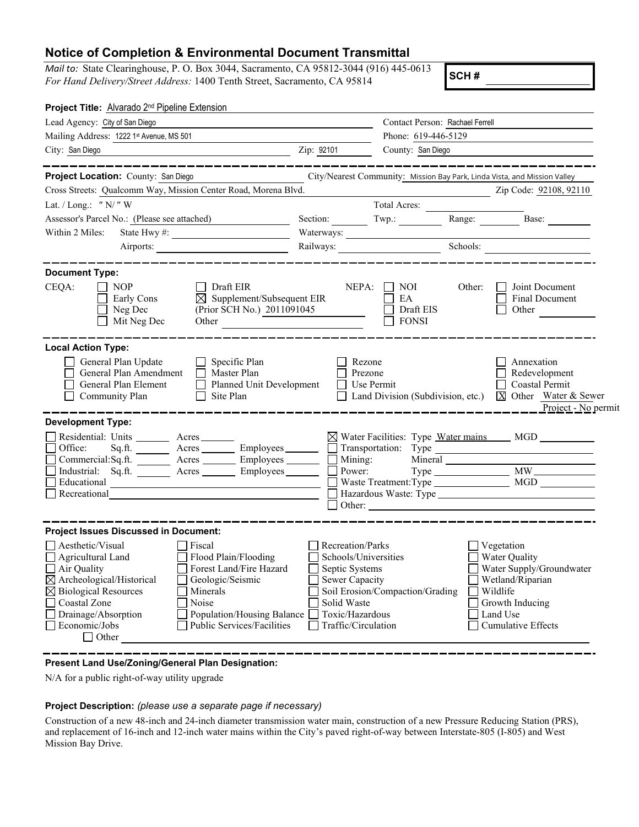## **Notice of Completion & Environmental Document Transmittal**

*Mail to:* State Clearinghouse, P. O. Box 3044, Sacramento, CA 95812-3044 (916) 445-0613 *For Hand Delivery/Street Address:* 1400 Tenth Street, Sacramento, CA 95814

**SCH #**

| Project Title: Alvarado 2 <sup>nd</sup> Pipeline Extension                                                                                                                                                                                                                                                                                                                                                                                                                      |                                                                                                                                              |                                         |        |                                                                                                                                                            |
|---------------------------------------------------------------------------------------------------------------------------------------------------------------------------------------------------------------------------------------------------------------------------------------------------------------------------------------------------------------------------------------------------------------------------------------------------------------------------------|----------------------------------------------------------------------------------------------------------------------------------------------|-----------------------------------------|--------|------------------------------------------------------------------------------------------------------------------------------------------------------------|
| Lead Agency: City of San Diego                                                                                                                                                                                                                                                                                                                                                                                                                                                  |                                                                                                                                              | Contact Person: Rachael Ferrell         |        |                                                                                                                                                            |
| Mailing Address: 1222 1st Avenue, MS 501                                                                                                                                                                                                                                                                                                                                                                                                                                        | Phone: 619-446-5129                                                                                                                          |                                         |        |                                                                                                                                                            |
| $\frac{1}{2}$ $\frac{1}{2}$ $\frac{1}{2}$ $\frac{1}{2}$ $\frac{1}{2}$ $\frac{1}{2}$ $\frac{1}{2}$ $\frac{1}{2}$ $\frac{1}{2}$ $\frac{1}{2}$ $\frac{1}{2}$ $\frac{1}{2}$ $\frac{1}{2}$ $\frac{1}{2}$ $\frac{1}{2}$ $\frac{1}{2}$ $\frac{1}{2}$ $\frac{1}{2}$ $\frac{1}{2}$ $\frac{1}{2}$ $\frac{1}{2}$ $\frac{1}{2}$<br>City: San Diego                                                                                                                                          |                                                                                                                                              | County: San Diego                       |        |                                                                                                                                                            |
| Project Location: County: San Diego<br>Cross Streets: Qualcomm Way, Mission Center Road, Morena Blvd.                                                                                                                                                                                                                                                                                                                                                                           |                                                                                                                                              |                                         |        | City/Nearest Community: Mission Bay Park, Linda Vista, and Mission Valley<br>Zip Code: 92108, 92110                                                        |
| Lat. / Long.: " $N$ /" W                                                                                                                                                                                                                                                                                                                                                                                                                                                        |                                                                                                                                              | <b>Total Acres:</b>                     |        |                                                                                                                                                            |
| Assessor's Parcel No.: (Please see attached)                                                                                                                                                                                                                                                                                                                                                                                                                                    |                                                                                                                                              |                                         |        | Section: Twp.: Range: Base:                                                                                                                                |
| Within 2 Miles:                                                                                                                                                                                                                                                                                                                                                                                                                                                                 | Waterways:                                                                                                                                   |                                         |        |                                                                                                                                                            |
| Airports:                                                                                                                                                                                                                                                                                                                                                                                                                                                                       | Railways:                                                                                                                                    |                                         |        | Schools:                                                                                                                                                   |
| <b>Document Type:</b><br>CEQA:<br><b>NOP</b><br>Draft EIR<br>$\boxtimes$ Supplement/Subsequent EIR<br>Early Cons<br>(Prior SCH No.) 2011091045<br>$\Box$ Neg Dec<br>Mit Neg Dec<br>Other <u>and the contract of the contract of the contract of the contract of the contract of the contract of the contract of the contract of the contract of the contract of the contract of the contract of the contract of the</u>                                                         | NEPA:                                                                                                                                        | NOI.<br>EA<br>Draft EIS<br><b>FONSI</b> | Other: | Joint Document<br>$\mathsf{L}$<br><b>Final Document</b><br>$\Box$<br>Other                                                                                 |
| <b>Local Action Type:</b><br>General Plan Update<br>$\Box$ Specific Plan<br>General Plan Amendment<br>$\Box$ Master Plan<br>Planned Unit Development<br>General Plan Element<br>Community Plan<br>$\Box$ Site Plan                                                                                                                                                                                                                                                              | Rezone<br>Prezone<br>$\Box$ Use Permit                                                                                                       | Land Division (Subdivision, etc.)       |        | Annexation<br>Redevelopment<br>$\Box$ Coastal Permit<br>X Other Water & Sewer<br>Project - No permit                                                       |
| <b>Development Type:</b><br>Residential: Units ________ Acres _______<br>$Sq.f.$ Acres $\frac{1}{\sqrt{2}}$ Employees $\frac{1}{\sqrt{2}}$ Transportation: Type $\frac{1}{\sqrt{2}}$ Transportation: Type $\frac{1}{\sqrt{2}}$<br>Office:<br>$\overline{\Box}$<br>Commercial: Sq.ft. Acres Employees Mining:<br>Industrial: Sq.ft. Acres Employees Burgely 2014<br>$\overline{\Box}$<br>Educational<br><u> 1989 - Johann Barbara, martxa alemaniar a</u><br>$\Box$ Recreational |                                                                                                                                              |                                         |        | ⊠ Water Facilities: Type Water mains MGD _________                                                                                                         |
| <b>Project Issues Discussed in Document:</b><br>Aesthetic/Visual<br>  Fiscal<br>Agricultural Land<br>Flood Plain/Flooding<br>$\Box$ Air Quality<br>Forest Land/Fire Hazard<br>$\boxtimes$ Archeological/Historical<br>Geologic/Seismic<br>$\boxtimes$ Biological Resources<br>Minerals<br>Coastal Zone<br>Noise<br>□ Drainage/Absorption<br>Population/Housing Balance [<br>$\Box$ Economic/Jobs<br>Public Services/Facilities<br>$\Box$ Other                                  | Recreation/Parks<br>Schools/Universities<br>Septic Systems<br><b>Sewer Capacity</b><br>Solid Waste<br>Toxic/Hazardous<br>Traffic/Circulation | Soil Erosion/Compaction/Grading         |        | Vegetation<br>Water Quality<br>Water Supply/Groundwater<br>$\Box$ Wetland/Riparian<br>Wildlife<br>Growth Inducing<br>Land Use<br><b>Cumulative Effects</b> |

## **Present Land Use/Zoning/General Plan Designation:**

N/A for a public right-of-way utility upgrade

## **Project Description:** *(please use a separate page if necessary)*

Construction of a new 48-inch and 24-inch diameter transmission water main, construction of a new Pressure Reducing Station (PRS), and replacement of 16-inch and 12-inch water mains within the City's paved right-of-way between Interstate-805 (I-805) and West Mission Bay Drive.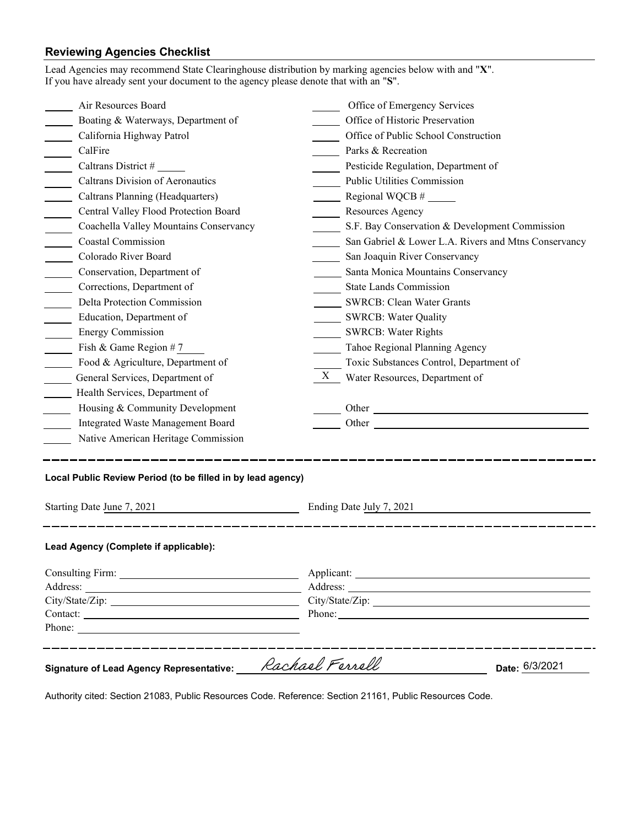## **Reviewing Agencies Checklist**<br>Lead Agencies may recommend State Cle

| Lead Agencies may recommend State Clearinghouse distribution by marking agencies below with and "X".<br>If you have already sent your document to the agency please denote that with an "S". |                                                      |  |  |
|----------------------------------------------------------------------------------------------------------------------------------------------------------------------------------------------|------------------------------------------------------|--|--|
| Air Resources Board                                                                                                                                                                          | Office of Emergency Services                         |  |  |
| Boating & Waterways, Department of                                                                                                                                                           | Office of Historic Preservation                      |  |  |
| California Highway Patrol                                                                                                                                                                    | Office of Public School Construction                 |  |  |
| CalFire                                                                                                                                                                                      | Parks & Recreation                                   |  |  |
| Caltrans District #                                                                                                                                                                          | Pesticide Regulation, Department of                  |  |  |
| Caltrans Division of Aeronautics                                                                                                                                                             | <b>Public Utilities Commission</b>                   |  |  |
| Caltrans Planning (Headquarters)                                                                                                                                                             | $\frac{1}{2}$ Regional WQCB #                        |  |  |
| Central Valley Flood Protection Board                                                                                                                                                        | Resources Agency                                     |  |  |
| Coachella Valley Mountains Conservancy                                                                                                                                                       | S.F. Bay Conservation & Development Commission       |  |  |
| <b>Coastal Commission</b>                                                                                                                                                                    | San Gabriel & Lower L.A. Rivers and Mtns Conservancy |  |  |
| Colorado River Board                                                                                                                                                                         | San Joaquin River Conservancy                        |  |  |
| Conservation, Department of                                                                                                                                                                  | Santa Monica Mountains Conservancy                   |  |  |
| Corrections, Department of                                                                                                                                                                   | <b>State Lands Commission</b>                        |  |  |
| Delta Protection Commission                                                                                                                                                                  | <b>SWRCB: Clean Water Grants</b>                     |  |  |
| Education, Department of                                                                                                                                                                     | SWRCB: Water Quality                                 |  |  |
| <b>Energy Commission</b>                                                                                                                                                                     | <b>SWRCB: Water Rights</b>                           |  |  |
| Fish & Game Region #7                                                                                                                                                                        | Tahoe Regional Planning Agency                       |  |  |
| Food & Agriculture, Department of                                                                                                                                                            | Toxic Substances Control, Department of              |  |  |
| General Services, Department of                                                                                                                                                              | X<br>Water Resources, Department of                  |  |  |
| Health Services, Department of                                                                                                                                                               |                                                      |  |  |
| Housing & Community Development                                                                                                                                                              |                                                      |  |  |
| Integrated Waste Management Board                                                                                                                                                            |                                                      |  |  |
| Native American Heritage Commission                                                                                                                                                          |                                                      |  |  |
| Local Public Review Period (to be filled in by lead agency)<br>Starting Date June 7, 2021<br><u> 1980 - Johann Barbara, martin a</u>                                                         | Ending Date July 7, 2021                             |  |  |
| Lead Agency (Complete if applicable):                                                                                                                                                        |                                                      |  |  |
|                                                                                                                                                                                              |                                                      |  |  |
|                                                                                                                                                                                              |                                                      |  |  |
|                                                                                                                                                                                              | Phone:                                               |  |  |
| Phone:                                                                                                                                                                                       |                                                      |  |  |
| <b>Signature of Lead Agency Representative:</b>                                                                                                                                              | Rachael Ferrell<br>Date: 6/3/2021                    |  |  |

Authority cited: Section 21083, Public Resources Code. Reference: Section 21161, Public Resources Code.